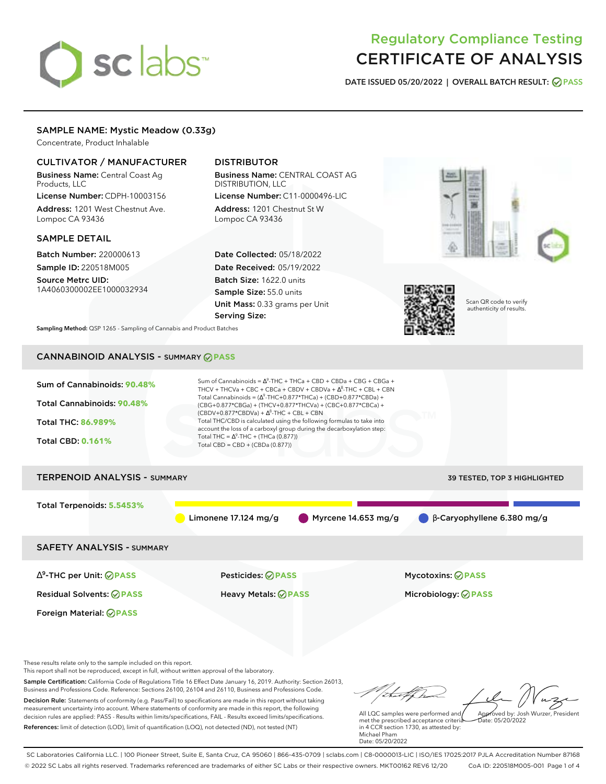# sclabs<sup>\*</sup>

# Regulatory Compliance Testing CERTIFICATE OF ANALYSIS

**DATE ISSUED 05/20/2022 | OVERALL BATCH RESULT: PASS**

# SAMPLE NAME: Mystic Meadow (0.33g)

Concentrate, Product Inhalable

# CULTIVATOR / MANUFACTURER

Business Name: Central Coast Ag Products, LLC

License Number: CDPH-10003156 Address: 1201 West Chestnut Ave. Lompoc CA 93436

## SAMPLE DETAIL

Batch Number: 220000613 Sample ID: 220518M005

Source Metrc UID: 1A4060300002EE1000032934

# DISTRIBUTOR

Business Name: CENTRAL COAST AG DISTRIBUTION, LLC License Number: C11-0000496-LIC

Address: 1201 Chestnut St W Lompoc CA 93436

Date Collected: 05/18/2022 Date Received: 05/19/2022 Batch Size: 1622.0 units Sample Size: 55.0 units Unit Mass: 0.33 grams per Unit Serving Size:





Scan QR code to verify authenticity of results.

**Sampling Method:** QSP 1265 - Sampling of Cannabis and Product Batches

# CANNABINOID ANALYSIS - SUMMARY **PASS**

| Sum of Cannabinoids: 90.48%<br>Total Cannabinoids: 90.48%<br>Total THC: 86.989%<br><b>Total CBD: 0.161%</b> | Sum of Cannabinoids = $\Delta^9$ -THC + THCa + CBD + CBDa + CBG + CBGa +<br>THCV + THCVa + CBC + CBCa + CBDV + CBDVa + $\Delta^8$ -THC + CBL + CBN<br>Total Cannabinoids = $(\Delta^9$ -THC+0.877*THCa) + (CBD+0.877*CBDa) +<br>(CBG+0.877*CBGa) + (THCV+0.877*THCVa) + (CBC+0.877*CBCa) +<br>$(CBDV+0.877*CBDVa) + \Delta^8$ -THC + CBL + CBN<br>Total THC/CBD is calculated using the following formulas to take into<br>account the loss of a carboxyl group during the decarboxylation step:<br>Total THC = $\Delta^9$ -THC + (THCa (0.877))<br>Total CBD = CBD + (CBDa (0.877)) |                                                            |  |  |  |  |
|-------------------------------------------------------------------------------------------------------------|--------------------------------------------------------------------------------------------------------------------------------------------------------------------------------------------------------------------------------------------------------------------------------------------------------------------------------------------------------------------------------------------------------------------------------------------------------------------------------------------------------------------------------------------------------------------------------------|------------------------------------------------------------|--|--|--|--|
| <b>TERPENOID ANALYSIS - SUMMARY</b>                                                                         |                                                                                                                                                                                                                                                                                                                                                                                                                                                                                                                                                                                      | 39 TESTED, TOP 3 HIGHLIGHTED                               |  |  |  |  |
| Total Terpenoids: 5.5453%                                                                                   | Limonene $17.124$ mg/g                                                                                                                                                                                                                                                                                                                                                                                                                                                                                                                                                               | Myrcene $14.653$ mg/g<br>$\beta$ -Caryophyllene 6.380 mg/g |  |  |  |  |
| <b>SAFETY ANALYSIS - SUMMARY</b>                                                                            |                                                                                                                                                                                                                                                                                                                                                                                                                                                                                                                                                                                      |                                                            |  |  |  |  |
| $\Delta^9$ -THC per Unit: $\bigcirc$ PASS                                                                   | <b>Pesticides: ⊘ PASS</b>                                                                                                                                                                                                                                                                                                                                                                                                                                                                                                                                                            | <b>Mycotoxins: ⊘PASS</b>                                   |  |  |  |  |
| <b>Residual Solvents: ⊘ PASS</b>                                                                            | <b>Heavy Metals: ⊘ PASS</b>                                                                                                                                                                                                                                                                                                                                                                                                                                                                                                                                                          | Microbiology: <b>⊘PASS</b>                                 |  |  |  |  |
| Foreign Material: <b>⊘ PASS</b>                                                                             |                                                                                                                                                                                                                                                                                                                                                                                                                                                                                                                                                                                      |                                                            |  |  |  |  |
| These results relate only to the sample included on this report.                                            |                                                                                                                                                                                                                                                                                                                                                                                                                                                                                                                                                                                      |                                                            |  |  |  |  |

This report shall not be reproduced, except in full, without written approval of the laboratory.

Sample Certification: California Code of Regulations Title 16 Effect Date January 16, 2019. Authority: Section 26013, Business and Professions Code. Reference: Sections 26100, 26104 and 26110, Business and Professions Code. Decision Rule: Statements of conformity (e.g. Pass/Fail) to specifications are made in this report without taking measurement uncertainty into account. Where statements of conformity are made in this report, the following decision rules are applied: PASS - Results within limits/specifications, FAIL - Results exceed limits/specifications.

References: limit of detection (LOD), limit of quantification (LOQ), not detected (ND), not tested (NT)

that for Approved by: Josh Wurzer, President

 $hat: 05/20/2022$ 

All LQC samples were performed and met the prescribed acceptance criteria in 4 CCR section 1730, as attested by: Michael Pham Date: 05/20/2022

SC Laboratories California LLC. | 100 Pioneer Street, Suite E, Santa Cruz, CA 95060 | 866-435-0709 | sclabs.com | C8-0000013-LIC | ISO/IES 17025:2017 PJLA Accreditation Number 87168 © 2022 SC Labs all rights reserved. Trademarks referenced are trademarks of either SC Labs or their respective owners. MKT00162 REV6 12/20 CoA ID: 220518M005-001 Page 1 of 4